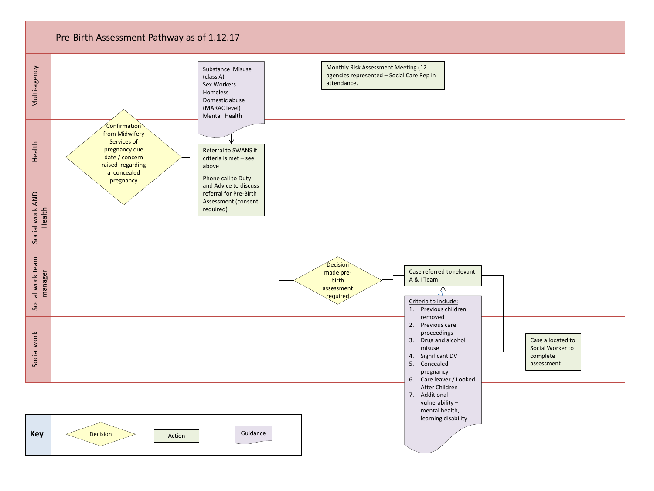